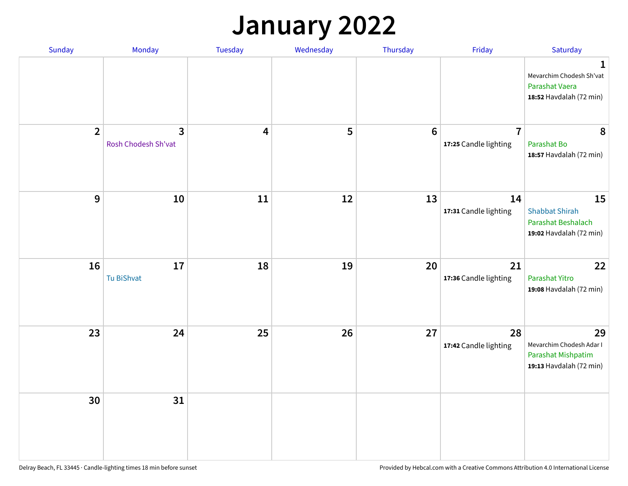#### **January 2022**

| <b>Sunday</b>  | Monday                                | Tuesday | Wednesday | Thursday        | Friday                                  | Saturday                                                                              |
|----------------|---------------------------------------|---------|-----------|-----------------|-----------------------------------------|---------------------------------------------------------------------------------------|
|                |                                       |         |           |                 |                                         | $\mathbf{1}$<br>Mevarchim Chodesh Sh'vat<br>Parashat Vaera<br>18:52 Havdalah (72 min) |
| $\overline{2}$ | $\overline{3}$<br>Rosh Chodesh Sh'vat | 4       | 5         | $6\phantom{1}6$ | $\overline{7}$<br>17:25 Candle lighting | 8<br>Parashat Bo<br>18:57 Havdalah (72 min)                                           |
| $\overline{9}$ | 10                                    | 11      | 12        | 13              | 14<br>17:31 Candle lighting             | 15<br><b>Shabbat Shirah</b><br>Parashat Beshalach<br>19:02 Havdalah (72 min)          |
| 16             | 17<br>Tu BiShvat                      | 18      | 19        | 20              | 21<br>17:36 Candle lighting             | 22<br>Parashat Yitro<br>19:08 Havdalah (72 min)                                       |
| 23             | 24                                    | 25      | 26        | 27              | 28<br>17:42 Candle lighting             | 29<br>Mevarchim Chodesh Adar I<br>Parashat Mishpatim<br>19:13 Havdalah (72 min)       |
| 30             | 31                                    |         |           |                 |                                         |                                                                                       |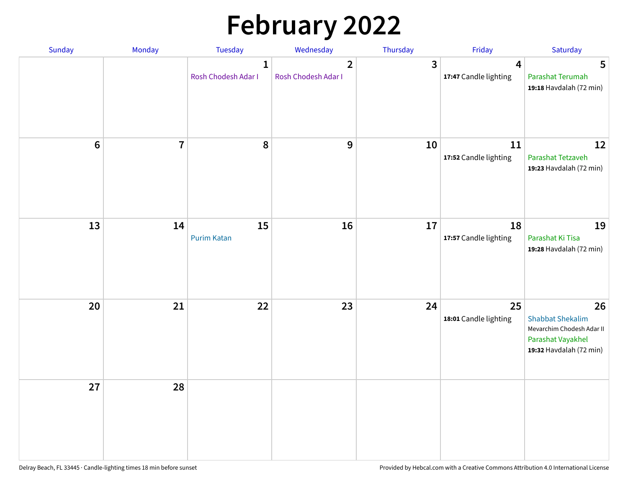# **February 2022**

| Sunday  | Monday         | Tuesday                             | Wednesday                             | Thursday     | Friday                      | Saturday                                                                                                   |
|---------|----------------|-------------------------------------|---------------------------------------|--------------|-----------------------------|------------------------------------------------------------------------------------------------------------|
|         |                | $\mathbf{1}$<br>Rosh Chodesh Adar I | $\overline{2}$<br>Rosh Chodesh Adar I | $\mathbf{3}$ | 4<br>17:47 Candle lighting  | 5<br>Parashat Terumah<br>19:18 Havdalah (72 min)                                                           |
| $\bf 6$ | $\overline{7}$ | 8                                   | $\boldsymbol{9}$                      | 10           | 11<br>17:52 Candle lighting | 12<br>Parashat Tetzaveh<br>19:23 Havdalah (72 min)                                                         |
| 13      | 14             | 15<br><b>Purim Katan</b>            | 16                                    | 17           | 18<br>17:57 Candle lighting | 19<br>Parashat Ki Tisa<br>19:28 Havdalah (72 min)                                                          |
| 20      | 21             | 22                                  | 23                                    | 24           | 25<br>18:01 Candle lighting | 26<br><b>Shabbat Shekalim</b><br>Mevarchim Chodesh Adar II<br>Parashat Vayakhel<br>19:32 Havdalah (72 min) |
| 27      | 28             |                                     |                                       |              |                             |                                                                                                            |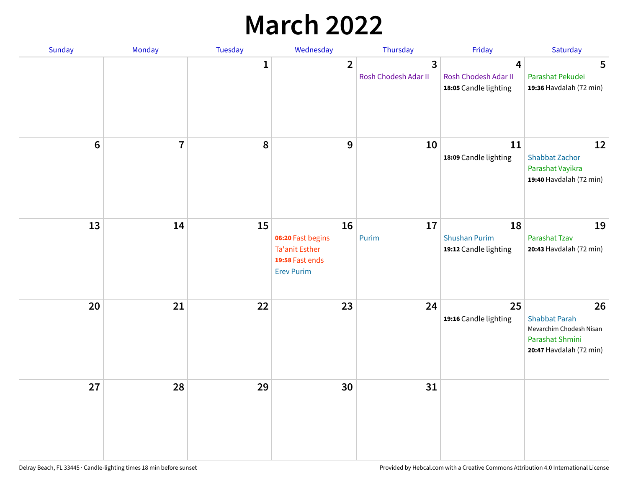## **March 2022**

| Sunday         | Monday         | <b>Tuesday</b> | Wednesday                                                                                | Thursday                  | Friday                                              | Saturday                                                                                            |
|----------------|----------------|----------------|------------------------------------------------------------------------------------------|---------------------------|-----------------------------------------------------|-----------------------------------------------------------------------------------------------------|
|                |                | $\mathbf{1}$   | $\overline{2}$                                                                           | 3<br>Rosh Chodesh Adar II | 4<br>Rosh Chodesh Adar II<br>18:05 Candle lighting  | 5<br>Parashat Pekudei<br>19:36 Havdalah (72 min)                                                    |
| $6\phantom{1}$ | $\overline{7}$ | 8              | 9                                                                                        | 10                        | 11<br>18:09 Candle lighting                         | 12<br><b>Shabbat Zachor</b><br>Parashat Vayikra<br>19:40 Havdalah (72 min)                          |
| 13             | 14             | 15             | 16<br>06:20 Fast begins<br><b>Ta'anit Esther</b><br>19:58 Fast ends<br><b>Erev Purim</b> | 17<br>Purim               | 18<br><b>Shushan Purim</b><br>19:12 Candle lighting | 19<br>Parashat Tzav<br>20:43 Havdalah (72 min)                                                      |
| 20             | 21             | 22             | 23                                                                                       | 24                        | 25<br>19:16 Candle lighting                         | 26<br><b>Shabbat Parah</b><br>Mevarchim Chodesh Nisan<br>Parashat Shmini<br>20:47 Havdalah (72 min) |
| 27             | 28             | 29             | 30                                                                                       | 31                        |                                                     |                                                                                                     |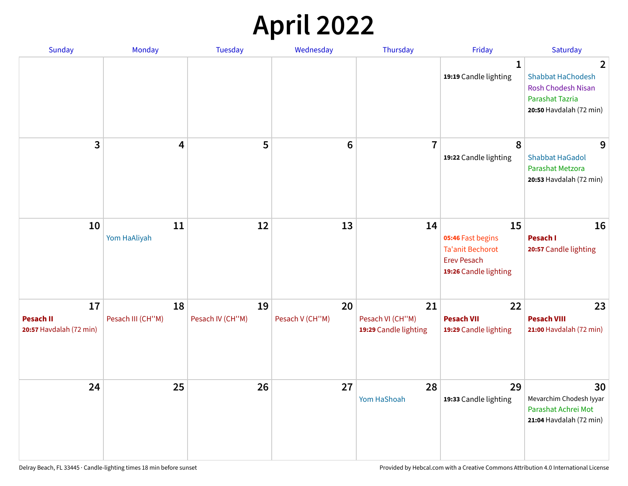## **April 2022**

| <b>Sunday</b>                                     | Monday                  | <b>Tuesday</b>         | Wednesday             | Thursday                                        | Friday                                                                                            | Saturday                                                                                                                     |
|---------------------------------------------------|-------------------------|------------------------|-----------------------|-------------------------------------------------|---------------------------------------------------------------------------------------------------|------------------------------------------------------------------------------------------------------------------------------|
|                                                   |                         |                        |                       |                                                 | 1<br>19:19 Candle lighting                                                                        | $\overline{2}$<br><b>Shabbat HaChodesh</b><br><b>Rosh Chodesh Nisan</b><br><b>Parashat Tazria</b><br>20:50 Havdalah (72 min) |
| 3                                                 | 4                       | 5                      | $6\phantom{1}6$       | $\overline{7}$                                  | 8<br>19:22 Candle lighting                                                                        | 9<br><b>Shabbat HaGadol</b><br>Parashat Metzora<br>20:53 Havdalah (72 min)                                                   |
| 10                                                | 11<br>Yom HaAliyah      | 12                     | 13                    | 14                                              | 15<br>05:46 Fast begins<br><b>Ta'anit Bechorot</b><br><b>Erev Pesach</b><br>19:26 Candle lighting | 16<br>Pesach I<br>20:57 Candle lighting                                                                                      |
| 17<br><b>Pesach II</b><br>20:57 Havdalah (72 min) | 18<br>Pesach III (CH"M) | 19<br>Pesach IV (CH"M) | 20<br>Pesach V (CH"M) | 21<br>Pesach VI (CH"M)<br>19:29 Candle lighting | 22<br><b>Pesach VII</b><br>19:29 Candle lighting                                                  | 23<br><b>Pesach VIII</b><br>21:00 Havdalah (72 min)                                                                          |
| 24                                                | 25                      | 26                     | 27                    | 28<br>Yom HaShoah                               | 29<br>19:33 Candle lighting                                                                       | 30<br>Mevarchim Chodesh Iyyar<br>Parashat Achrei Mot<br>21:04 Havdalah (72 min)                                              |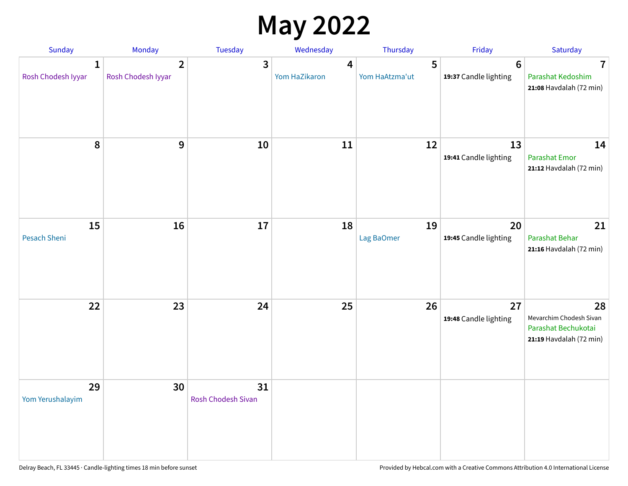### **May 2022**

| Sunday                  | Monday                               | Tuesday                         | Wednesday          | Thursday            | Friday                      | Saturday                                                                        |
|-------------------------|--------------------------------------|---------------------------------|--------------------|---------------------|-----------------------------|---------------------------------------------------------------------------------|
| 1<br>Rosh Chodesh Iyyar | $\overline{2}$<br>Rosh Chodesh Iyyar | 3                               | 4<br>Yom HaZikaron | 5<br>Yom HaAtzma'ut | 6<br>19:37 Candle lighting  | 7<br>Parashat Kedoshim<br>21:08 Havdalah (72 min)                               |
| 8                       | 9                                    | 10                              | 11                 | 12                  | 13<br>19:41 Candle lighting | 14<br><b>Parashat Emor</b><br>21:12 Havdalah (72 min)                           |
| 15<br>Pesach Sheni      | 16                                   | 17                              | 18                 | 19<br>Lag BaOmer    | 20<br>19:45 Candle lighting | 21<br>Parashat Behar<br>21:16 Havdalah (72 min)                                 |
| 22                      | 23                                   | 24                              | 25                 | 26                  | 27<br>19:48 Candle lighting | 28<br>Mevarchim Chodesh Sivan<br>Parashat Bechukotai<br>21:19 Havdalah (72 min) |
| 29<br>Yom Yerushalayim  | 30                                   | 31<br><b>Rosh Chodesh Sivan</b> |                    |                     |                             |                                                                                 |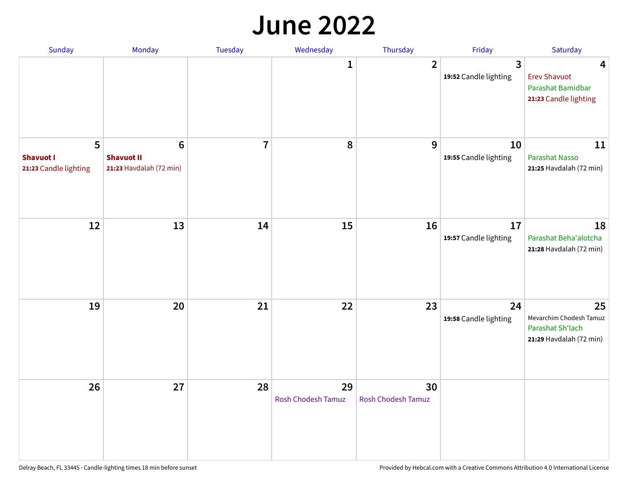#### **June 2022**

| Sunday                                         | Monday                                                         | Tuesday        | Wednesday                       | Thursday                        | Friday                      | Saturday                                                                     |
|------------------------------------------------|----------------------------------------------------------------|----------------|---------------------------------|---------------------------------|-----------------------------|------------------------------------------------------------------------------|
|                                                |                                                                |                | 1                               | $\overline{2}$                  | 3<br>19:52 Candle lighting  | 4<br><b>Erev Shavuot</b><br>Parashat Bamidbar<br>21:23 Candle lighting       |
| 5<br><b>Shavuot I</b><br>21:23 Candle lighting | $6\phantom{1}$<br><b>Shavuot II</b><br>21:23 Havdalah (72 min) | $\overline{7}$ | 8                               | 9                               | 10<br>19:55 Candle lighting | 11<br><b>Parashat Nasso</b><br>21:25 Havdalah (72 min)                       |
| 12                                             | 13                                                             | 14             | 15                              | 16                              | 17<br>19:57 Candle lighting | 18<br>Parashat Beha'alotcha<br>21:28 Havdalah (72 min)                       |
| 19                                             | 20                                                             | 21             | 22                              | 23                              | 24<br>19:58 Candle lighting | 25<br>Mevarchim Chodesh Tamuz<br>Parashat Sh'lach<br>21:29 Havdalah (72 min) |
| 26                                             | 27                                                             | 28             | 29<br><b>Rosh Chodesh Tamuz</b> | 30<br><b>Rosh Chodesh Tamuz</b> |                             |                                                                              |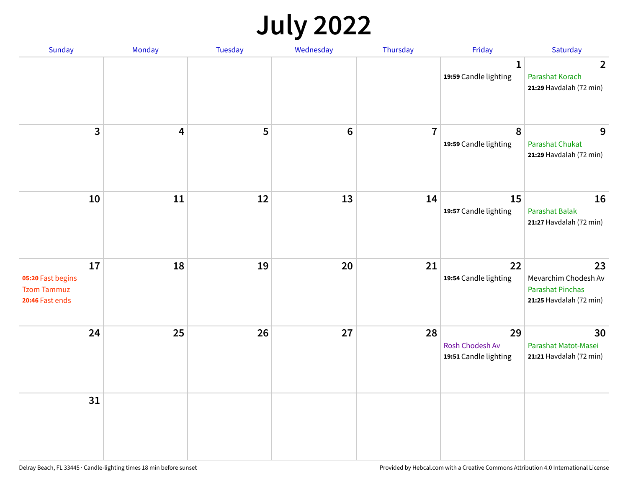## **July 2022**

| Sunday                                                           | Monday | Tuesday | Wednesday      | Thursday       | Friday                                         | Saturday                                                                         |
|------------------------------------------------------------------|--------|---------|----------------|----------------|------------------------------------------------|----------------------------------------------------------------------------------|
|                                                                  |        |         |                |                | $\mathbf{1}$<br>19:59 Candle lighting          | $\overline{2}$<br>Parashat Korach<br>21:29 Havdalah (72 min)                     |
| $\mathbf{3}$                                                     | 4      | 5       | $6\phantom{1}$ | $\overline{7}$ | 8<br>19:59 Candle lighting                     | 9<br>Parashat Chukat<br>21:29 Havdalah (72 min)                                  |
| 10                                                               | 11     | 12      | 13             | 14             | 15<br>19:57 Candle lighting                    | 16<br><b>Parashat Balak</b><br>21:27 Havdalah (72 min)                           |
| 17<br>05:20 Fast begins<br><b>Tzom Tammuz</b><br>20:46 Fast ends | 18     | 19      | 20             | 21             | 22<br>19:54 Candle lighting                    | 23<br>Mevarchim Chodesh Av<br><b>Parashat Pinchas</b><br>21:25 Havdalah (72 min) |
| 24                                                               | 25     | 26      | 27             | 28             | 29<br>Rosh Chodesh Av<br>19:51 Candle lighting | 30<br>Parashat Matot-Masei<br>21:21 Havdalah (72 min)                            |
| 31                                                               |        |         |                |                |                                                |                                                                                  |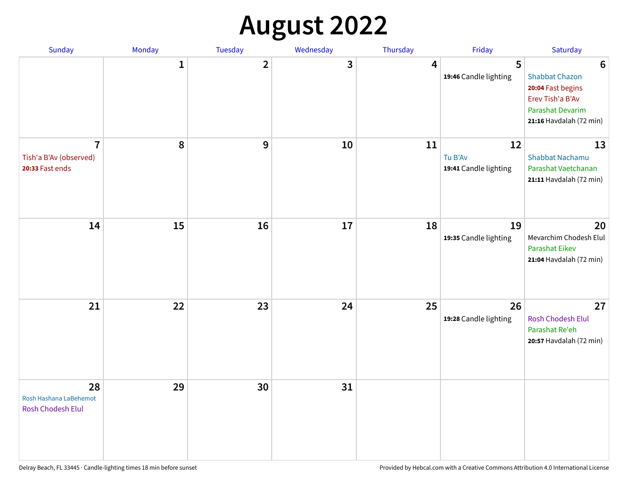## **August 2022**

| Sunday                                                      | Monday       | Tuesday                 | Wednesday | Thursday | Friday                                 | Saturday                                                                                                                                |
|-------------------------------------------------------------|--------------|-------------------------|-----------|----------|----------------------------------------|-----------------------------------------------------------------------------------------------------------------------------------------|
|                                                             | $\mathbf{1}$ | $\overline{\mathbf{2}}$ | 3         | 4        | 5<br>19:46 Candle lighting             | $6\phantom{1}6$<br><b>Shabbat Chazon</b><br>20:04 Fast begins<br>Erev Tish'a B'Av<br><b>Parashat Devarim</b><br>21:16 Havdalah (72 min) |
| $\overline{7}$<br>Tish'a B'Av (observed)<br>20:33 Fast ends | 8            | 9                       | 10        | 11       | 12<br>Tu B'Av<br>19:41 Candle lighting | 13<br><b>Shabbat Nachamu</b><br>Parashat Vaetchanan<br>21:11 Havdalah (72 min)                                                          |
| 14                                                          | 15           | 16                      | 17        | 18       | 19<br>19:35 Candle lighting            | 20<br>Mevarchim Chodesh Elul<br><b>Parashat Eikev</b><br>21:04 Havdalah (72 min)                                                        |
| 21                                                          | 22           | 23                      | 24        | 25       | 26<br>19:28 Candle lighting            | 27<br><b>Rosh Chodesh Elul</b><br>Parashat Re'eh<br>20:57 Havdalah (72 min)                                                             |
| 28<br>Rosh Hashana LaBehemot<br>Rosh Chodesh Elul           | 29           | 30                      | 31        |          |                                        |                                                                                                                                         |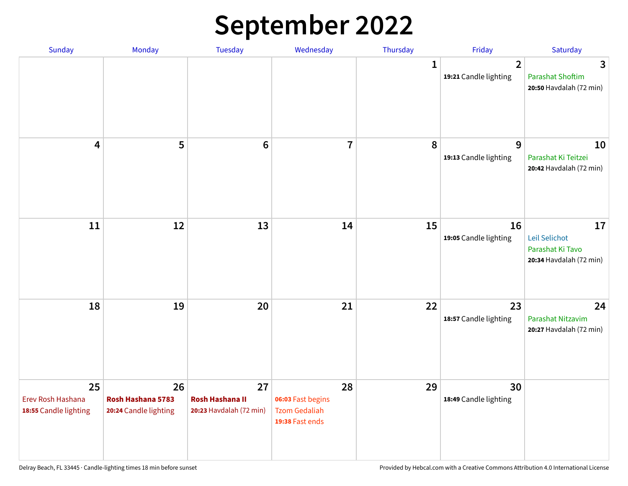## **September 2022**

| Sunday                                           | Monday                                           | <b>Tuesday</b>                                          | Wednesday                                                          | Thursday | Friday                                  | Saturday                                                           |
|--------------------------------------------------|--------------------------------------------------|---------------------------------------------------------|--------------------------------------------------------------------|----------|-----------------------------------------|--------------------------------------------------------------------|
|                                                  |                                                  |                                                         |                                                                    | 1        | $\overline{2}$<br>19:21 Candle lighting | 3<br><b>Parashat Shoftim</b><br>20:50 Havdalah (72 min)            |
| 4                                                | 5                                                | $6\phantom{1}6$                                         | $\overline{7}$                                                     | 8        | 9<br>19:13 Candle lighting              | 10<br>Parashat Ki Teitzei<br>20:42 Havdalah (72 min)               |
| 11                                               | 12                                               | 13                                                      | 14                                                                 | 15       | 16<br>19:05 Candle lighting             | 17<br>Leil Selichot<br>Parashat Ki Tavo<br>20:34 Havdalah (72 min) |
| 18                                               | 19                                               | 20                                                      | 21                                                                 | 22       | 23<br>18:57 Candle lighting             | 24<br>Parashat Nitzavim<br>20:27 Havdalah (72 min)                 |
| 25<br>Erev Rosh Hashana<br>18:55 Candle lighting | 26<br>Rosh Hashana 5783<br>20:24 Candle lighting | 27<br><b>Rosh Hashana II</b><br>20:23 Havdalah (72 min) | 28<br>06:03 Fast begins<br><b>Tzom Gedaliah</b><br>19:38 Fast ends | 29       | 30<br>18:49 Candle lighting             |                                                                    |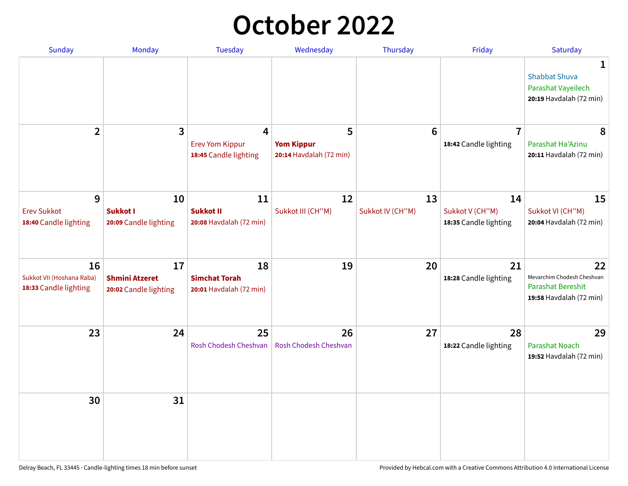### **October 2022**

| Sunday                                                   | Monday                                               | <b>Tuesday</b>                                        | Wednesday                                         | Thursday               | Friday                                         | Saturday                                                                                |
|----------------------------------------------------------|------------------------------------------------------|-------------------------------------------------------|---------------------------------------------------|------------------------|------------------------------------------------|-----------------------------------------------------------------------------------------|
|                                                          |                                                      |                                                       |                                                   |                        |                                                | 1<br><b>Shabbat Shuva</b><br>Parashat Vayeilech<br>20:19 Havdalah (72 min)              |
| $\overline{2}$                                           | 3                                                    | 4<br><b>Erev Yom Kippur</b><br>18:45 Candle lighting  | 5<br><b>Yom Kippur</b><br>20:14 Havdalah (72 min) | 6                      | $\overline{7}$<br>18:42 Candle lighting        | 8<br>Parashat Ha'Azinu<br>20:11 Havdalah (72 min)                                       |
| 9<br><b>Erev Sukkot</b><br>18:40 Candle lighting         | 10<br><b>Sukkot I</b><br>20:09 Candle lighting       | 11<br><b>Sukkot II</b><br>20:08 Havdalah (72 min)     | 12<br>Sukkot III (CH"M)                           | 13<br>Sukkot IV (CH"M) | 14<br>Sukkot V (CH"M)<br>18:35 Candle lighting | 15<br>Sukkot VI (CH"M)<br>20:04 Havdalah (72 min)                                       |
| 16<br>Sukkot VII (Hoshana Raba)<br>18:33 Candle lighting | 17<br><b>Shmini Atzeret</b><br>20:02 Candle lighting | 18<br><b>Simchat Torah</b><br>20:01 Havdalah (72 min) | 19                                                | 20                     | 21<br>18:28 Candle lighting                    | 22<br>Mevarchim Chodesh Cheshvan<br><b>Parashat Bereshit</b><br>19:58 Havdalah (72 min) |
| 23                                                       | 24                                                   | 25<br>Rosh Chodesh Cheshvan                           | 26<br><b>Rosh Chodesh Cheshvan</b>                | 27                     | 28<br>18:22 Candle lighting                    | 29<br><b>Parashat Noach</b><br>19:52 Havdalah (72 min)                                  |
| 30                                                       | 31                                                   |                                                       |                                                   |                        |                                                |                                                                                         |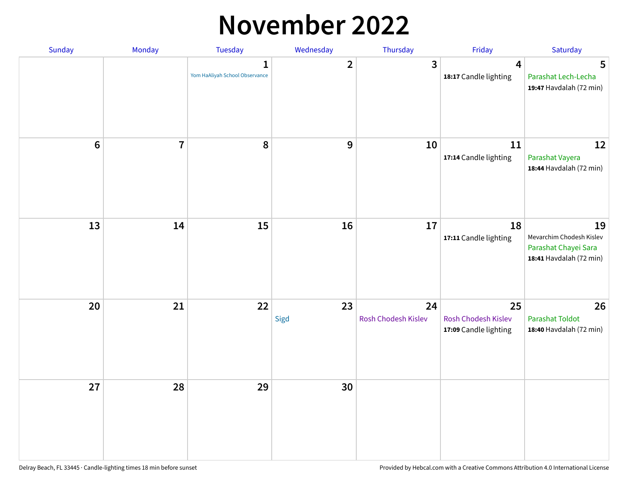#### **November 2022**

| Sunday         | Monday         | Tuesday                             | Wednesday      | Thursday                  | Friday                                             | Saturday                                                                          |
|----------------|----------------|-------------------------------------|----------------|---------------------------|----------------------------------------------------|-----------------------------------------------------------------------------------|
|                |                | 1<br>Yom HaAliyah School Observance | $\overline{2}$ | $\mathbf{3}$              | 4<br>18:17 Candle lighting                         | 5<br>Parashat Lech-Lecha<br>19:47 Havdalah (72 min)                               |
| $6\phantom{1}$ | $\overline{7}$ | 8                                   | 9              | 10                        | 11<br>17:14 Candle lighting                        | 12<br>Parashat Vayera<br>18:44 Havdalah (72 min)                                  |
| 13             | 14             | 15                                  | 16             | 17                        | 18<br>17:11 Candle lighting                        | 19<br>Mevarchim Chodesh Kislev<br>Parashat Chayei Sara<br>18:41 Havdalah (72 min) |
| 20             | 21             | 22                                  | 23<br>Sigd     | 24<br>Rosh Chodesh Kislev | 25<br>Rosh Chodesh Kislev<br>17:09 Candle lighting | 26<br><b>Parashat Toldot</b><br>18:40 Havdalah (72 min)                           |
| 27             | 28             | 29                                  | 30             |                           |                                                    |                                                                                   |